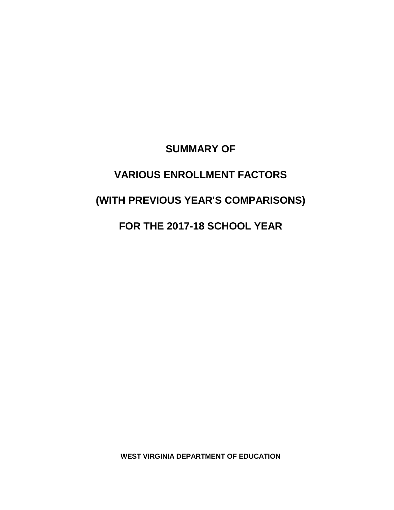### **SUMMARY OF**

# **VARIOUS ENROLLMENT FACTORS**

# **(WITH PREVIOUS YEAR'S COMPARISONS)**

## **FOR THE 2017-18 SCHOOL YEAR**

**WEST VIRGINIA DEPARTMENT OF EDUCATION**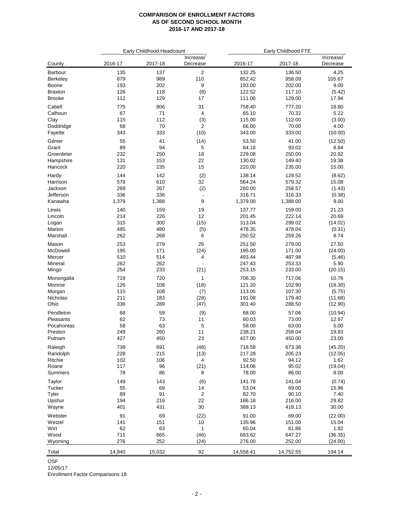|                   |            | Early Childhood Headcount |                               | Early Childhood FTE |                  |                       |  |
|-------------------|------------|---------------------------|-------------------------------|---------------------|------------------|-----------------------|--|
| County            | 2016-17    | 2017-18                   | Increase/<br>Decrease         | 2016-17             | 2017-18          | Increase/<br>Decrease |  |
| Barbour           | 135        | 137                       | $\overline{\mathbf{c}}$       | 132.25              | 136.50           | 4.25                  |  |
| <b>Berkeley</b>   | 879        | 989                       | 110                           | 852.42              | 958.09           | 105.67                |  |
| Boone             | 193        | 202                       | 9                             | 193.00              | 202.00           | 9.00                  |  |
| <b>Braxton</b>    | 126        | 118                       | (8)                           | 122.52              | 117.10           | (5.42)                |  |
| <b>Brooke</b>     | 112        | 129                       | 17                            | 111.06              | 129.00           | 17.94                 |  |
| Cabell            | 775        | 806                       | 31                            | 758.40              | 777.20           | 18.80                 |  |
| Calhoun           | 67         | 71                        | 4                             | 65.10               | 70.32            | 5.22                  |  |
| Clay              | 115        | 112                       | (3)                           | 115.00              | 112.00           | (3.00)                |  |
| Doddridge         | 68         | 70                        | $\overline{2}$                | 66.00               | 70.00            | 4.00                  |  |
| Fayette           | 343        | 333                       | (10)                          | 343.00              | 333.00           | (10.00)               |  |
| Gilmer            | 55         | 41                        | (14)                          | 53.50               | 41.00            | (12.50)               |  |
| Grant             | 89         | 94                        | 5                             | 84.18               | 93.02            | 8.84                  |  |
| Greenbrier        | 232        | 250                       | 18                            | 229.08              | 250.00           | 20.92                 |  |
| Hampshire         | 131        | 153                       | 22                            | 130.02              | 149.40           | 19.38                 |  |
| Hancock           | 220        | 235                       | 15                            | 220.00              | 235.00           | 15.00                 |  |
| Hardy             | 144        | 142                       | (2)                           | 138.14              | 129.52           | (8.62)                |  |
| Harrison          | 578        | 610                       | 32                            | 564.24              | 579.32           | 15.08                 |  |
| Jackson           | 269        | 267                       | (2)                           | 260.00              | 258.57           | (1.43)                |  |
| Jefferson         | 336        | 336                       | $\overline{\phantom{a}}$      | 316.71              | 316.33           | (0.38)                |  |
| Kanawha           | 1,379      | 1,388                     | 9                             | 1,379.00            | 1,388.00         | 9.00                  |  |
| Lewis             | 140        | 159                       | 19                            | 137.77              | 159.00           | 21.23                 |  |
| Lincoln           | 214        | 226                       | 12                            | 201.45              | 222.14           | 20.69                 |  |
| Logan             | 315        | 300                       | (15)                          | 313.04              | 299.02           | (14.02)               |  |
| Marion            | 485        | 480                       | (5)                           | 478.35              | 478.04           | (0.31)                |  |
| Marshall          | 262        | 268                       | 6                             | 250.52              | 259.26           | 8.74                  |  |
|                   |            |                           |                               |                     |                  |                       |  |
| Mason<br>McDowell | 253<br>195 | 279<br>171                | 26                            | 251.50<br>195.00    | 279.00<br>171.00 | 27.50                 |  |
|                   | 510        | 514                       | (24)                          | 493.44              | 487.98           | (24.00)               |  |
| Mercer<br>Mineral | 262        | 262                       | 4<br>$\overline{\phantom{a}}$ | 247.43              | 253.33           | (5.46)<br>5.90        |  |
| Mingo             | 254        | 233                       | (21)                          | 253.15              | 233.00           | (20.15)               |  |
|                   |            |                           |                               |                     |                  |                       |  |
| Monongalia        | 719        | 720                       | $\mathbf{1}$                  | 706.30              | 717.06           | 10.76                 |  |
| Monroe            | 126        | 108                       | (18)                          | 121.20              | 102.90           | (18.30)               |  |
| Morgan            | 115        | 108                       | (7)                           | 113.05              | 107.30           | (5.75)                |  |
| Nicholas          | 211        | 183                       | (28)                          | 191.08              | 179.40           | (11.68)               |  |
| Ohio              | 336        | 289                       | (47)                          | 301.40              | 288.50           | (12.90)               |  |
| Pendleton         | 68         | 59                        | (9)                           | 68.00               | 57.06            | (10.94)               |  |
| Pleasants         | 62         | 73                        | 11                            | 60.03               | 73.00            | 12.97                 |  |
| Pocahontas        | 58         | 63                        | 5                             | 58.00               | 63.00            | 5.00                  |  |
| Preston           | 249        | 260                       | 11                            | 238.21              | 258.04           | 19.83                 |  |
| Putnam            | 427        | 450                       | 23                            | 427.00              | 450.00           | 23.00                 |  |
| Raleigh           | 739        | 691                       | (48)                          | 718.58              | 673.38           | (45.20)               |  |
| Randolph          | 228        | 215                       | (13)                          | 217.28              | 205.23           | (12.05)               |  |
| Ritchie           | 102        | 106                       | 4                             | 92.50               | 94.12            | 1.62                  |  |
| Roane             | 117        | 96                        | (21)                          | 114.06              | 95.02            | (19.04)               |  |
| Summers           | 78         | 86                        | 8                             | 78.00               | 86.00            | 8.00                  |  |
| Taylor            | 149        | 143                       | (6)                           | 141.78              | 141.04           | (0.74)                |  |
| Tucker            | 55         | 69                        | 14                            | 53.04               | 69.00            | 15.96                 |  |
| Tyler             | 89         | 91                        | $\overline{\mathbf{c}}$       | 82.70               | 90.10            | 7.40                  |  |
| Upshur            | 194        | 216                       | 22                            | 186.18              | 216.00           | 29.82                 |  |
| Wayne             | 401        | 431                       | 30                            | 388.13              | 418.13           | 30.00                 |  |
| Webster           | 91         | 69                        | (22)                          | 91.00               | 69.00            | (22.00)               |  |
| Wetzel            | 141        | 151                       | 10                            | 135.96              | 151.00           | 15.04                 |  |
| Wirt              | 62         | 63                        | $\mathbf{1}$                  | 60.04               | 61.86            | 1.82                  |  |
| Wood              | 711        | 665                       | (46)                          | 683.62              | 647.27           | (36.35)               |  |
| Wyoming           | 276        | 252                       | (24)                          | 276.00              | 252.00           | (24.00)               |  |
|                   |            |                           |                               |                     |                  |                       |  |
| Total             | 14,940     | 15,032                    | 92                            | 14,558.41           | 14,752.55        | 194.14                |  |

OSF

12/05/17

Enrollment Factor Comparisons 18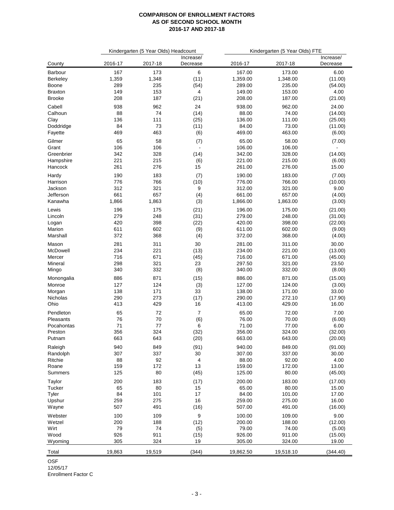|                 |         | Kindergarten (5 Year Olds) Headcount |                          | Kindergarten (5 Year Olds) FTE |           |                       |  |
|-----------------|---------|--------------------------------------|--------------------------|--------------------------------|-----------|-----------------------|--|
| County          | 2016-17 | 2017-18                              | Increase/<br>Decrease    | 2016-17                        | 2017-18   | Increase/<br>Decrease |  |
| Barbour         | 167     | 173                                  | 6                        | 167.00                         | 173.00    | 6.00                  |  |
| Berkeley        | 1,359   | 1,348                                | (11)                     | 1,359.00                       | 1,348.00  | (11.00)               |  |
| Boone           | 289     | 235                                  | (54)                     | 289.00                         | 235.00    | (54.00)               |  |
| <b>Braxton</b>  | 149     | 153                                  | 4                        | 149.00                         | 153.00    | 4.00                  |  |
| <b>Brooke</b>   | 208     | 187                                  | (21)                     | 208.00                         | 187.00    | (21.00)               |  |
| Cabell          | 938     | 962                                  | 24                       | 938.00                         | 962.00    | 24.00                 |  |
| Calhoun         | 88      | 74                                   | (14)                     | 88.00                          | 74.00     | (14.00)               |  |
| Clay            | 136     | 111                                  | (25)                     | 136.00                         | 111.00    | (25.00)               |  |
| Doddridge       | 84      | 73                                   | (11)                     | 84.00                          | 73.00     | (11.00)               |  |
| Fayette         | 469     | 463                                  | (6)                      | 469.00                         | 463.00    | (6.00)                |  |
| Gilmer          | 65      | 58                                   | (7)                      | 65.00                          | 58.00     | (7.00)                |  |
| Grant           | 106     | 106                                  | $\overline{\phantom{a}}$ | 106.00                         | 106.00    |                       |  |
| Greenbrier      | 342     | 328                                  | (14)                     | 342.00                         | 328.00    | (14.00)               |  |
| Hampshire       | 221     | 215                                  | (6)                      | 221.00                         | 215.00    | (6.00)                |  |
| Hancock         | 261     | 276                                  | 15                       | 261.00                         | 276.00    | 15.00                 |  |
| Hardy           | 190     | 183                                  | (7)                      | 190.00                         | 183.00    | (7.00)                |  |
| Harrison        | 776     | 766                                  | (10)                     | 776.00                         | 766.00    | (10.00)               |  |
| Jackson         | 312     | 321                                  | 9                        | 312.00                         | 321.00    | 9.00                  |  |
| Jefferson       | 661     | 657                                  | (4)                      | 661.00                         | 657.00    | (4.00)                |  |
| Kanawha         | 1,866   | 1,863                                | (3)                      | 1,866.00                       | 1,863.00  | (3.00)                |  |
| Lewis           | 196     | 175                                  |                          | 196.00                         | 175.00    | (21.00)               |  |
| Lincoln         | 279     | 248                                  | (21)<br>(31)             | 279.00                         | 248.00    | (31.00)               |  |
|                 | 420     | 398                                  | (22)                     | 420.00                         | 398.00    | (22.00)               |  |
| Logan<br>Marion | 611     | 602                                  | (9)                      | 611.00                         | 602.00    | (9.00)                |  |
| Marshall        | 372     | 368                                  | (4)                      | 372.00                         | 368.00    | (4.00)                |  |
|                 |         |                                      |                          |                                |           |                       |  |
| Mason           | 281     | 311                                  | 30                       | 281.00                         | 311.00    | 30.00                 |  |
| McDowell        | 234     | 221                                  | (13)                     | 234.00                         | 221.00    | (13.00)               |  |
| Mercer          | 716     | 671                                  | (45)                     | 716.00                         | 671.00    | (45.00)               |  |
| Mineral         | 298     | 321                                  | 23                       | 297.50                         | 321.00    | 23.50                 |  |
| Mingo           | 340     | 332                                  | (8)                      | 340.00                         | 332.00    | (8.00)                |  |
| Monongalia      | 886     | 871                                  | (15)                     | 886.00                         | 871.00    | (15.00)               |  |
| Monroe          | 127     | 124                                  | (3)                      | 127.00                         | 124.00    | (3.00)                |  |
| Morgan          | 138     | 171                                  | 33                       | 138.00                         | 171.00    | 33.00                 |  |
| Nicholas        | 290     | 273                                  | (17)                     | 290.00                         | 272.10    | (17.90)               |  |
| Ohio            | 413     | 429                                  | 16                       | 413.00                         | 429.00    | 16.00                 |  |
| Pendleton       | 65      | 72                                   | 7                        | 65.00                          | 72.00     | 7.00                  |  |
| Pleasants       | 76      | 70                                   | (6)                      | 76.00                          | 70.00     | (6.00)                |  |
| Pocahontas      | 71      | $77 \,$                              | 6                        | 71.00                          | 77.00     | 6.00                  |  |
| Preston         | 356     | 324                                  | (32)                     | 356.00                         | 324.00    | (32.00)               |  |
| Putnam          | 663     | 643                                  | (20)                     | 663.00                         | 643.00    | (20.00)               |  |
| Raleigh         | 940     | 849                                  | (91)                     | 940.00                         | 849.00    | (91.00)               |  |
| Randolph        | 307     | 337                                  | $30\,$                   | 307.00                         | 337.00    | 30.00                 |  |
| Ritchie         | 88      | 92                                   | 4                        | 88.00                          | 92.00     | 4.00                  |  |
| Roane           | 159     | 172                                  | 13                       | 159.00                         | 172.00    | 13.00                 |  |
| Summers         | 125     | 80                                   | (45)                     | 125.00                         | 80.00     | (45.00)               |  |
| Taylor          | 200     | 183                                  | (17)                     | 200.00                         | 183.00    | (17.00)               |  |
| Tucker          | 65      | 80                                   | 15                       | 65.00                          | 80.00     | 15.00                 |  |
| Tyler           | 84      | 101                                  | 17                       | 84.00                          | 101.00    | 17.00                 |  |
| Upshur          | 259     | 275                                  | 16                       | 259.00                         | 275.00    | 16.00                 |  |
| Wayne           | 507     | 491                                  | (16)                     | 507.00                         | 491.00    | (16.00)               |  |
| Webster         | 100     | 109                                  | 9                        | 100.00                         | 109.00    | 9.00                  |  |
| Wetzel          | 200     | 188                                  | (12)                     | 200.00                         | 188.00    | (12.00)               |  |
| Wirt            | 79      | 74                                   | (5)                      | 79.00                          | 74.00     | (5.00)                |  |
| Wood            | 926     | 911                                  | (15)                     | 926.00                         | 911.00    | (15.00)               |  |
| Wyoming         | 305     | 324                                  | 19                       | 305.00                         | 324.00    | 19.00                 |  |
|                 |         |                                      |                          |                                |           |                       |  |
| Total           | 19,863  | 19,519                               | (344)                    | 19,862.50                      | 19,518.10 | (344.40)              |  |

OSF

12/05/17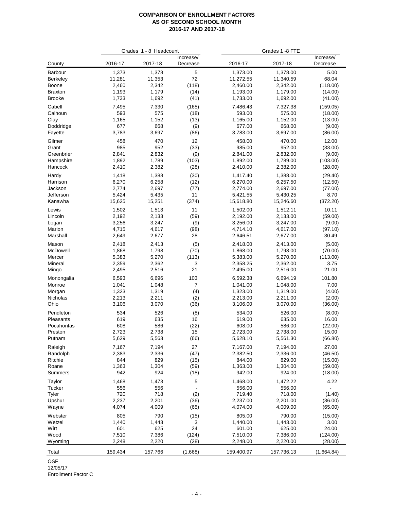|                     |                 | Grades 1 - 8 Headcount |                       |                      | Grades 1 -8 FTE      |                       |
|---------------------|-----------------|------------------------|-----------------------|----------------------|----------------------|-----------------------|
| County              | 2016-17         | 2017-18                | Increase/<br>Decrease | 2016-17              | 2017-18              | Increase/<br>Decrease |
| Barbour             | 1,373           | 1,378                  | 5                     | 1,373.00             | 1,378.00             | 5.00                  |
| <b>Berkeley</b>     | 11,281          | 11,353                 | 72                    | 11,272.55            | 11,340.59            | 68.04                 |
| Boone               | 2,460           | 2,342                  | (118)                 | 2,460.00             | 2,342.00             | (118.00)              |
| <b>Braxton</b>      | 1,193           | 1,179                  | (14)                  | 1,193.00             | 1,179.00             | (14.00)               |
| <b>Brooke</b>       | 1,733           | 1,692                  | (41)                  | 1,733.00             | 1,692.00             | (41.00)               |
| Cabell              | 7,495           | 7,330                  | (165)                 | 7,486.43             | 7,327.38             | (159.05)              |
| Calhoun             | 593             | 575                    | (18)                  | 593.00               | 575.00               | (18.00)               |
| Clay                | 1,165           | 1,152                  | (13)                  | 1,165.00             | 1,152.00             | (13.00)               |
| Doddridge           | 677             | 668                    | (9)                   | 677.00               | 668.00               | (9.00)                |
| Fayette             | 3,783           | 3,697                  | (86)                  | 3,783.00             | 3,697.00             | (86.00)               |
| Gilmer              | 458             | 470                    | 12                    | 458.00               | 470.00               | 12.00                 |
| Grant               | 985             | 952                    | (33)                  | 985.00               | 952.00               | (33.00)               |
| Greenbrier          | 2,841           | 2,832                  | (9)                   | 2,841.00             | 2,832.00             | (9.00)                |
| Hampshire           | 1,892           | 1,789                  | (103)                 | 1,892.00             | 1,789.00             | (103.00)              |
| Hancock             | 2,410           | 2,382                  | (28)                  | 2,410.00             | 2,382.00             | (28.00)               |
| Hardy               | 1,418           | 1,388                  | (30)                  | 1,417.40             | 1,388.00             | (29.40)               |
| Harrison            | 6,270           | 6,258                  | (12)                  | 6,270.00             | 6,257.50             | (12.50)               |
| Jackson             | 2,774           | 2,697                  | (77)                  | 2,774.00             | 2,697.00             | (77.00)               |
| Jefferson           | 5,424<br>15,625 | 5,435                  | 11                    | 5,421.55             | 5,430.25             | 8.70                  |
| Kanawha             |                 | 15,251                 | (374)                 | 15,618.80            | 15,246.60            | (372.20)              |
| Lewis               | 1,502           | 1,513                  | 11                    | 1,502.00             | 1,512.11             | 10.11                 |
| Lincoln             | 2,192           | 2,133                  | (59)                  | 2,192.00             | 2,133.00             | (59.00)               |
| Logan<br>Marion     | 3,256<br>4,715  | 3,247                  | (9)                   | 3,256.00             | 3,247.00<br>4,617.00 | (9.00)                |
| Marshall            | 2,649           | 4,617<br>2,677         | (98)<br>28            | 4,714.10<br>2,646.51 | 2,677.00             | (97.10)<br>30.49      |
|                     |                 |                        |                       |                      |                      |                       |
| Mason               | 2,418           | 2,413                  | (5)                   | 2,418.00             | 2,413.00             | (5.00)                |
| McDowell            | 1,868           | 1,798                  | (70)                  | 1,868.00             | 1,798.00             | (70.00)               |
| Mercer<br>Mineral   | 5,383<br>2,359  | 5,270<br>2,362         | (113)<br>3            | 5,383.00<br>2,358.25 | 5,270.00<br>2,362.00 | (113.00)<br>3.75      |
| Mingo               | 2,495           | 2,516                  | 21                    | 2,495.00             | 2,516.00             | 21.00                 |
|                     |                 |                        |                       |                      |                      |                       |
| Monongalia          | 6,593           | 6,696                  | 103<br>$\overline{7}$ | 6,592.38             | 6,694.19<br>1,048.00 | 101.80<br>7.00        |
| Monroe<br>Morgan    | 1,041<br>1,323  | 1,048<br>1,319         | (4)                   | 1,041.00<br>1,323.00 | 1,319.00             | (4.00)                |
| Nicholas            | 2,213           | 2,211                  | (2)                   | 2,213.00             | 2,211.00             | (2.00)                |
| Ohio                | 3,106           | 3,070                  | (36)                  | 3,106.00             | 3,070.00             | (36.00)               |
| Pendleton           |                 |                        |                       |                      |                      |                       |
| Pleasants           | 534<br>619      | 526<br>635             | (8)<br>16             | 534.00<br>619.00     | 526.00<br>635.00     | (8.00)<br>16.00       |
| Pocahontas          | 608             | 586                    | (22)                  | 608.00               | 586.00               | (22.00)               |
| Preston             | 2,723           | 2,738                  | 15                    | 2,723.00             | 2,738.00             | 15.00                 |
| Putnam              | 5,629           | 5,563                  | (66)                  | 5,628.10             | 5,561.30             | (66.80)               |
|                     | 7,167           |                        | 27                    | 7,167.00             | 7,194.00             | 27.00                 |
| Raleigh<br>Randolph | 2,383           | 7,194<br>2,336         | (47)                  | 2,382.50             | 2,336.00             | (46.50)               |
| Ritchie             | 844             | 829                    | (15)                  | 844.00               | 829.00               | (15.00)               |
| Roane               | 1,363           | 1,304                  | (59)                  | 1,363.00             | 1,304.00             | (59.00)               |
| Summers             | 942             | 924                    | (18)                  | 942.00               | 924.00               | (18.00)               |
| Taylor              | 1,468           | 1,473                  | 5                     | 1,468.00             | 1,472.22             | 4.22                  |
| Tucker              | 556             | 556                    |                       | 556.00               | 556.00               |                       |
| Tyler               | 720             | 718                    | (2)                   | 719.40               | 718.00               | (1.40)                |
| Upshur              | 2,237           | 2,201                  | (36)                  | 2,237.00             | 2,201.00             | (36.00)               |
| Wayne               | 4,074           | 4,009                  | (65)                  | 4,074.00             | 4,009.00             | (65.00)               |
| Webster             | 805             | 790                    | (15)                  | 805.00               | 790.00               | (15.00)               |
| Wetzel              | 1,440           | 1,443                  | 3                     | 1,440.00             | 1,443.00             | 3.00                  |
| Wirt                | 601             | 625                    | 24                    | 601.00               | 625.00               | 24.00                 |
| Wood                | 7,510           | 7,386                  | (124)                 | 7,510.00             | 7,386.00             | (124.00)              |
| Wyoming             | 2,248           | 2,220                  | (28)                  | 2,248.00             | 2,220.00             | (28.00)               |
|                     |                 |                        |                       |                      |                      |                       |
| Total               | 159,434         | 157,766                | (1,668)               | 159,400.97           | 157,736.13           | (1,664.84)            |

OSF

12/05/17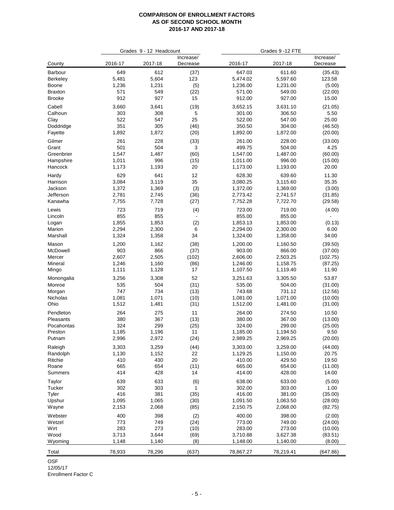|                  |            | Grades 9 - 12 Headcount |                       |                  | Grades 9 - 12 FTE |                       |
|------------------|------------|-------------------------|-----------------------|------------------|-------------------|-----------------------|
| County           | 2016-17    | 2017-18                 | Increase/<br>Decrease | 2016-17          | 2017-18           | Increase/<br>Decrease |
| Barbour          | 649        | 612                     | (37)                  | 647.03           | 611.60            | (35.43)               |
| <b>Berkeley</b>  | 5,481      | 5,604                   | 123                   | 5,474.02         | 5,597.60          | 123.58                |
| Boone            | 1,236      | 1,231                   | (5)                   | 1,236.00         | 1,231.00          | (5.00)                |
| <b>Braxton</b>   | 571        | 549                     | (22)                  | 571.00           | 549.00            | (22.00)               |
| <b>Brooke</b>    | 912        | 927                     | 15                    | 912.00           | 927.00            | 15.00                 |
| Cabell           | 3,660      | 3,641                   | (19)                  | 3,652.15         | 3,631.10          | (21.05)               |
| Calhoun          | 303        | 308                     | 5                     | 301.00           | 306.50            | 5.50                  |
| Clay             | 522        | 547                     | 25                    | 522.00           | 547.00            | 25.00                 |
| Doddridge        | 351        | 305                     | (46)                  | 350.50           | 304.00            | (46.50)               |
| Fayette          | 1,892      | 1,872                   | (20)                  | 1,892.00         | 1,872.00          | (20.00)               |
| Gilmer           | 261        | 228                     | (33)                  | 261.00           | 228.00            | (33.00)               |
| Grant            | 501        | 504                     | 3                     | 499.75           | 504.00            | 4.25                  |
| Greenbrier       | 1,547      | 1,487                   | (60)                  | 1,547.00         | 1,487.00          | (60.00)               |
| Hampshire        | 1,011      | 996                     | (15)                  | 1,011.00         | 996.00            | (15.00)               |
| Hancock          | 1,173      | 1,193                   | 20                    | 1,173.00         | 1,193.00          | 20.00                 |
| Hardy            | 629        | 641                     | 12                    | 628.30           | 639.60            | 11.30                 |
| Harrison         | 3,084      | 3,119                   | 35                    | 3,080.25         | 3,115.60          | 35.35                 |
| Jackson          | 1,372      | 1,369                   | (3)                   | 1,372.00         | 1,369.00          | (3.00)                |
| Jefferson        | 2,781      | 2,745                   | (36)                  | 2,773.42         | 2,741.57          | (31.85)               |
| Kanawha          | 7,755      | 7,728                   | (27)                  | 7,752.28         | 7,722.70          | (29.58)               |
| Lewis            | 723        | 719                     | (4)                   | 723.00           | 719.00            | (4.00)                |
| Lincoln          | 855        | 855                     |                       | 855.00           | 855.00            |                       |
| Logan            | 1,855      | 1,853                   | (2)                   | 1,853.13         | 1,853.00          | (0.13)                |
| Marion           | 2,294      | 2,300                   | 6                     | 2,294.00         | 2,300.00          | 6.00                  |
| Marshall         | 1,324      | 1,358                   | 34                    | 1,324.00         | 1,358.00          | 34.00                 |
| Mason            | 1,200      | 1,162                   | (38)                  | 1,200.00         | 1,160.50          | (39.50)               |
| McDowell         | 903        | 866                     | (37)                  | 903.00           | 866.00            | (37.00)               |
| Mercer           | 2,607      | 2,505                   | (102)                 | 2,606.00         | 2,503.25          | (102.75)              |
| Mineral          | 1,246      | 1,160                   | (86)                  | 1,246.00         | 1,158.75          | (87.25)               |
| Mingo            | 1,111      | 1,128                   | 17                    | 1,107.50         | 1,119.40          | 11.90                 |
| Monongalia       | 3,256      | 3,308                   | 52                    | 3,251.63         | 3,305.50          | 53.87                 |
| Monroe           | 535        | 504                     | (31)                  | 535.00           | 504.00            | (31.00)               |
| Morgan           | 747        | 734                     | (13)                  | 743.68           | 731.12            | (12.56)               |
| Nicholas         | 1,081      | 1,071                   | (10)                  | 1,081.00         | 1,071.00          | (10.00)               |
| Ohio             | 1,512      | 1,481                   | (31)                  | 1,512.00         | 1,481.00          | (31.00)               |
| Pendleton        | 264        | 275                     | 11                    | 264.00           | 274.50            | 10.50                 |
| Pleasants        | 380        | 367                     | (13)                  | 380.00           | 367.00            | (13.00)               |
| Pocahontas       | 324        | 299                     | (25)                  | 324.00           | 299.00            | (25.00)               |
| Preston          | 1,185      | 1,196                   | 11                    | 1,185.00         | 1,194.50          | 9.50                  |
| Putnam           | 2,996      | 2,972                   | (24)                  | 2,989.25         | 2,969.25          | (20.00)               |
|                  |            |                         |                       |                  |                   |                       |
| Raleigh          | 3,303      | 3,259                   | (44)                  | 3,303.00         | 3,259.00          | (44.00)               |
| Randolph         | 1,130      | 1,152                   | 22                    | 1,129.25         | 1,150.00          | 20.75                 |
| Ritchie          | 410        | 430                     | $20\,$                | 410.00           | 429.50            | 19.50                 |
| Roane<br>Summers | 665<br>414 | 654<br>428              | (11)<br>14            | 665.00<br>414.00 | 654.00<br>428.00  | (11.00)<br>14.00      |
|                  |            |                         |                       |                  |                   |                       |
| Taylor           | 639        | 633                     | (6)                   | 638.00           | 633.00            | (5.00)                |
| Tucker           | 302        | 303                     | 1                     | 302.00           | 303.00            | 1.00                  |
| Tyler            | 416        | 381                     | (35)                  | 416.00           | 381.00            | (35.00)               |
| Upshur           | 1,095      | 1,065                   | (30)                  | 1,091.50         | 1,063.50          | (28.00)               |
| Wayne            | 2,153      | 2,068                   | (85)                  | 2,150.75         | 2,068.00          | (82.75)               |
| Webster          | 400        | 398                     | (2)                   | 400.00           | 398.00            | (2.00)                |
| Wetzel           | 773        | 749                     | (24)                  | 773.00           | 749.00            | (24.00)               |
| Wirt             | 283        | 273                     | (10)                  | 283.00           | 273.00            | (10.00)               |
| Wood             | 3,713      | 3,644                   | (69)                  | 3,710.88         | 3,627.38          | (83.51)               |
| Wyoming          | 1,148      | 1,140                   | (8)                   | 1,148.00         | 1,140.00          | (8.00)                |
| Total            | 78,933     | 78,296                  | (637)                 | 78,867.27        | 78,219.41         | (647.86)              |

OSF

12/05/17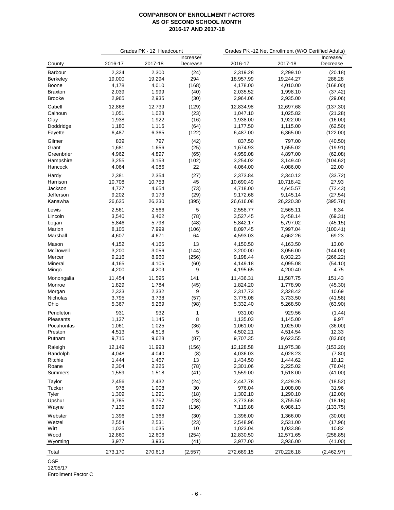|                   |                | Grades PK - 12 Headcount |                       | Grades PK -12 Net Enrollment (W/O Certified Adults) |                      |                       |  |  |
|-------------------|----------------|--------------------------|-----------------------|-----------------------------------------------------|----------------------|-----------------------|--|--|
| County            | 2016-17        | 2017-18                  | Increase/<br>Decrease | 2016-17                                             | 2017-18              | Increase/<br>Decrease |  |  |
| Barbour           | 2,324          | 2,300                    | (24)                  | 2,319.28                                            | 2,299.10             | (20.18)               |  |  |
| Berkeley          | 19,000         | 19,294                   | 294                   | 18,957.99                                           | 19,244.27            | 286.28                |  |  |
| Boone             | 4,178          | 4,010                    | (168)                 | 4,178.00                                            | 4,010.00             | (168.00)              |  |  |
| <b>Braxton</b>    | 2,039          | 1,999                    | (40)                  | 2,035.52                                            | 1,998.10             | (37.42)               |  |  |
| <b>Brooke</b>     | 2,965          | 2,935                    | (30)                  | 2,964.06                                            | 2,935.00             | (29.06)               |  |  |
| Cabell            | 12,868         | 12,739                   | (129)                 | 12,834.98                                           | 12,697.68            | (137.30)              |  |  |
| Calhoun           | 1,051          | 1,028                    | (23)                  | 1,047.10                                            | 1,025.82             | (21.28)               |  |  |
| Clay              | 1,938          | 1,922                    | (16)                  | 1,938.00                                            | 1,922.00             | (16.00)               |  |  |
| Doddridge         | 1,180          | 1,116                    | (64)                  | 1,177.50                                            | 1,115.00             | (62.50)               |  |  |
| Fayette           | 6,487          | 6,365                    | (122)                 | 6,487.00                                            | 6,365.00             | (122.00)              |  |  |
| Gilmer            | 839            | 797                      | (42)                  | 837.50                                              | 797.00               | (40.50)               |  |  |
| Grant             | 1,681          | 1,656                    | (25)                  | 1,674.93                                            | 1,655.02             | (19.91)               |  |  |
| Greenbrier        | 4,962          | 4,897                    | (65)                  | 4,959.08                                            | 4,897.00             | (62.08)               |  |  |
| Hampshire         | 3,255          | 3,153                    | (102)                 | 3,254.02                                            | 3,149.40             | (104.62)              |  |  |
| Hancock           | 4,064          | 4,086                    | 22                    | 4,064.00                                            | 4,086.00             | 22.00                 |  |  |
| Hardy             | 2,381          | 2,354                    | (27)                  | 2,373.84                                            | 2,340.12             | (33.72)               |  |  |
| Harrison          | 10,708         | 10,753                   | 45                    | 10,690.49                                           | 10,718.42            | 27.93                 |  |  |
| Jackson           | 4,727          | 4,654                    | (73)                  | 4,718.00                                            | 4,645.57             | (72.43)               |  |  |
| Jefferson         | 9,202          | 9,173                    | (29)                  | 9,172.68                                            | 9,145.14             | (27.54)               |  |  |
| Kanawha           | 26,625         | 26,230                   | (395)                 | 26,616.08                                           | 26,220.30            | (395.78)              |  |  |
| Lewis             | 2,561          | 2,566                    | 5                     | 2,558.77                                            | 2,565.11             | 6.34                  |  |  |
| Lincoln           | 3,540          | 3,462                    | (78)                  | 3,527.45                                            | 3,458.14             | (69.31)               |  |  |
| Logan             | 5,846          | 5,798                    | (48)                  | 5,842.17                                            | 5,797.02             | (45.15)               |  |  |
| Marion            | 8,105          | 7,999                    | (106)                 | 8,097.45                                            | 7,997.04             | (100.41)              |  |  |
| Marshall          | 4,607          | 4,671                    | 64                    | 4,593.03                                            | 4,662.26             | 69.23                 |  |  |
|                   |                |                          |                       |                                                     |                      |                       |  |  |
| Mason<br>McDowell | 4,152<br>3,200 | 4,165<br>3,056           | 13<br>(144)           | 4,150.50<br>3,200.00                                | 4,163.50<br>3,056.00 | 13.00<br>(144.00)     |  |  |
| Mercer            | 9,216          | 8,960                    | (256)                 | 9,198.44                                            | 8,932.23             | (266.22)              |  |  |
| Mineral           | 4,165          | 4,105                    | (60)                  | 4,149.18                                            | 4,095.08             | (54.10)               |  |  |
| Mingo             | 4,200          | 4,209                    | 9                     | 4,195.65                                            | 4,200.40             | 4.75                  |  |  |
|                   |                |                          |                       |                                                     |                      |                       |  |  |
| Monongalia        | 11,454         | 11,595                   | 141                   | 11,436.31                                           | 11,587.75            | 151.43                |  |  |
| Monroe            | 1,829          | 1,784                    | (45)                  | 1,824.20                                            | 1,778.90             | (45.30)               |  |  |
| Morgan            | 2,323          | 2,332                    | 9                     | 2,317.73                                            | 2,328.42             | 10.69                 |  |  |
| Nicholas<br>Ohio  | 3,795<br>5,367 | 3,738                    | (57)<br>(98)          | 3,775.08<br>5,332.40                                | 3,733.50<br>5,268.50 | (41.58)<br>(63.90)    |  |  |
|                   |                | 5,269                    |                       |                                                     |                      |                       |  |  |
| Pendleton         | 931            | 932                      | 1                     | 931.00                                              | 929.56               | (1.44)                |  |  |
| Pleasants         | 1,137          | 1,145                    | 8                     | 1,135.03                                            | 1,145.00             | 9.97                  |  |  |
| Pocahontas        | 1,061          | 1,025                    | (36)                  | 1,061.00                                            | 1,025.00             | (36.00)               |  |  |
| Preston           | 4,513          | 4,518                    | 5                     | 4,502.21                                            | 4,514.54             | 12.33                 |  |  |
| Putnam            | 9,715          | 9,628                    | (87)                  | 9,707.35                                            | 9,623.55             | (83.80)               |  |  |
| Raleigh           | 12,149         | 11,993                   | (156)                 | 12,128.58                                           | 11,975.38            | (153.20)              |  |  |
| Randolph          | 4,048          | 4,040                    | (8)                   | 4,036.03                                            | 4,028.23             | (7.80)                |  |  |
| Ritchie           | 1,444          | 1,457                    | 13                    | 1,434.50                                            | 1,444.62             | 10.12                 |  |  |
| Roane             | 2,304          | 2,226                    | (78)                  | 2,301.06                                            | 2,225.02             | (76.04)               |  |  |
| Summers           | 1,559          | 1,518                    | (41)                  | 1,559.00                                            | 1,518.00             | (41.00)               |  |  |
| Taylor            | 2,456          | 2,432                    | (24)                  | 2,447.78                                            | 2,429.26             | (18.52)               |  |  |
| Tucker            | 978            | 1,008                    | 30                    | 976.04                                              | 1,008.00             | 31.96                 |  |  |
| Tyler             | 1,309          | 1,291                    | (18)                  | 1,302.10                                            | 1,290.10             | (12.00)               |  |  |
| Upshur            | 3,785          | 3,757                    | (28)                  | 3,773.68                                            | 3,755.50             | (18.18)               |  |  |
| Wayne             | 7,135          | 6,999                    | (136)                 | 7,119.88                                            | 6,986.13             | (133.75)              |  |  |
| Webster           | 1,396          | 1,366                    | (30)                  | 1,396.00                                            | 1,366.00             | (30.00)               |  |  |
| Wetzel            | 2,554          | 2,531                    | (23)                  | 2,548.96                                            | 2,531.00             | (17.96)               |  |  |
| Wirt              | 1,025          | 1,035                    | 10                    | 1,023.04                                            | 1,033.86             | 10.82                 |  |  |
| Wood              | 12,860         | 12,606                   | (254)                 | 12,830.50                                           | 12,571.65            | (258.85)              |  |  |
| Wyoming           | 3,977          | 3,936                    | (41)                  | 3,977.00                                            | 3,936.00             | (41.00)               |  |  |
| Total             |                |                          |                       |                                                     | 270,226.18           |                       |  |  |
|                   | 273,170        | 270,613                  | (2, 557)              | 272,689.15                                          |                      | (2,462.97)            |  |  |

OSF

12/05/17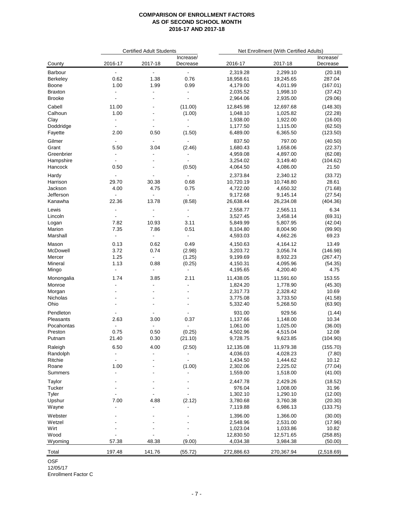| Increase/<br>Increase/<br>2017-18<br>County<br>2016-17<br>2016-17<br>2017-18<br>Decrease<br>Decrease<br>2,319.28<br>2,299.10<br>(20.18)<br>$\blacksquare$<br>$\blacksquare$<br>$\blacksquare$<br>0.62<br>1.38<br>0.76<br>18,958.61<br>19,245.65<br>287.04<br>Boone<br>1.00<br>1.99<br>0.99<br>4,179.00<br>4,011.99<br>(167.01)<br>2,035.52<br>1,998.10<br>(37.42)<br>$\blacksquare$<br>$\blacksquare$<br>$\blacksquare$<br><b>Brooke</b><br>2,964.06<br>2,935.00<br>(29.06)<br>$\blacksquare$<br>11.00<br>(11.00)<br>12,845.98<br>12,697.68<br>(148.30)<br>$\overline{a}$<br>Calhoun<br>1.00<br>1,048.10<br>1,025.82<br>(22.28)<br>(1.00)<br>Clay<br>1,938.00<br>1,922.00<br>(16.00)<br>$\blacksquare$<br>$\blacksquare$<br>$\overline{\phantom{a}}$<br>Doddridge<br>1,177.50<br>1,115.00<br>(62.50)<br>$\blacksquare$<br>$\overline{\phantom{a}}$<br>$\blacksquare$<br>2.00<br>Fayette<br>0.50<br>(1.50)<br>6,489.00<br>6,365.50<br>(123.50)<br>Gilmer<br>837.50<br>797.00<br>(40.50)<br>$\blacksquare$<br>$\blacksquare$<br>$\blacksquare$<br>Grant<br>5.50<br>3.04<br>(2.46)<br>1,680.43<br>1,658.06<br>(22.37)<br>4,959.08<br>4,897.00<br>Greenbrier<br>(62.08)<br>$\blacksquare$<br>$\blacksquare$<br>3,254.02<br>Hampshire<br>3,149.40<br>(104.62)<br>$\blacksquare$<br>$\blacksquare$<br>0.50<br>4,064.50<br>21.50<br>Hancock<br>(0.50)<br>4,086.00<br>$\blacksquare$<br>2,373.84<br>2,340.12<br>(33.72)<br>Hardy<br>$\blacksquare$<br>$\blacksquare$<br>$\overline{\phantom{a}}$<br>29.70<br>30.38<br>0.68<br>10,720.19<br>10,748.80<br>28.61<br>Harrison<br>4.00<br>4.75<br>0.75<br>4,722.00<br>4,650.32<br>(71.68)<br>Jackson<br>9,145.14<br>Jefferson<br>9,172.68<br>(27.54)<br>$\blacksquare$<br>$\blacksquare$<br>$\blacksquare$<br>22.36<br>13.78<br>(8.58)<br>26,638.44<br>Kanawha<br>26,234.08<br>(404.36)<br>6.34<br>2,558.77<br>2,565.11<br>Lewis<br>$\blacksquare$<br>$\blacksquare$<br>$\blacksquare$<br>3,527.45<br>3,458.14<br>(69.31)<br>Lincoln<br>$\blacksquare$<br>$\overline{\phantom{a}}$<br>$\blacksquare$<br>7.82<br>10.93<br>3.11<br>5,849.99<br>5,807.95<br>(42.04)<br>Logan<br>7.35<br>7.86<br>0.51<br>8,104.80<br>8,004.90<br>(99.90)<br>4,593.03<br>4,662.26<br>69.23<br>$\blacksquare$<br>$\blacksquare$<br>$\blacksquare$<br>13.49<br>Mason<br>0.13<br>0.62<br>0.49<br>4,150.63<br>4,164.12<br>McDowell<br>3.72<br>0.74<br>(2.98)<br>3,203.72<br>3,056.74<br>(146.98)<br>1.25<br>8,932.23<br>(1.25)<br>9,199.69<br>(267.47)<br>Mercer<br>$\blacksquare$<br>1.13<br>0.88<br>(0.25)<br>4,150.31<br>4,095.96<br>(54.35)<br>4.75<br>$\blacksquare$<br>$\blacksquare$<br>4,195.65<br>4,200.40<br>$\blacksquare$<br>Monongalia<br>1.74<br>3.85<br>2.11<br>11,438.05<br>11,591.60<br>153.55<br>Monroe<br>1,778.90<br>(45.30)<br>1,824.20<br>$\overline{a}$<br>$\blacksquare$<br>$\blacksquare$<br>2,317.73<br>2,328.42<br>10.69<br>Morgan<br>3,775.08<br>3,733.50<br>(41.58)<br>5,332.40<br>5,268.50<br>(63.90)<br>931.00<br>Pendleton<br>929.56<br>(1.44)<br>$\overline{\phantom{a}}$<br>$\overline{\phantom{a}}$<br>$\overline{\phantom{a}}$<br>2.63<br>3.00<br>0.37<br>Pleasants<br>1,137.66<br>1,148.00<br>10.34<br>1,061.00<br>1,025.00<br>(36.00)<br>$\blacksquare$<br>$\blacksquare$<br>$\blacksquare$<br>0.75<br>0.50<br>(0.25)<br>12.08<br>4,502.96<br>4,515.04<br>21.40<br>0.30<br>(21.10)<br>9,728.75<br>9,623.85<br>(104.90)<br>6.50<br>4.00<br>(2.50)<br>12,135.08<br>11,979.38<br>(155.70)<br>Randolph<br>4,036.03<br>4,028.23<br>(7.80)<br>$\blacksquare$<br>1,434.50<br>1,444.62<br>10.12<br>$\blacksquare$<br>$\blacksquare$<br>$\overline{a}$<br>1.00<br>(1.00)<br>2,302.06<br>2,225.02<br>(77.04)<br>$\overline{\phantom{a}}$<br>1,559.00<br>1,518.00<br>(41.00)<br>$\overline{\phantom{0}}$<br>$\blacksquare$<br>2,429.26<br>Taylor<br>2,447.78<br>(18.52)<br>976.04<br>1,008.00<br>31.96<br>1,302.10<br>1,290.10<br>(12.00)<br>$\overline{\phantom{a}}$<br>7.00<br>4.88<br>(2.12)<br>3,780.68<br>3,760.38<br>(20.30)<br>7,119.88<br>6,986.13<br>(133.75)<br>$\blacksquare$<br>$\blacksquare$<br>$\overline{\phantom{a}}$<br>1,396.00<br>1,366.00<br>(30.00)<br>2,548.96<br>2,531.00<br>(17.96)<br>1,023.04<br>1,033.86<br>10.82<br>(258.85)<br>12,830.50<br>12,571.65<br>57.38<br>48.38<br>(9.00)<br>4,034.38<br>3,984.38<br>(50.00)<br>197.48<br>141.76<br>(55.72)<br>272,886.63<br>270,367.94<br>(2,518.69) |                | <b>Certified Adult Students</b> |  |  | Net Enrollment (With Certified Adults) |  |  |  |
|------------------------------------------------------------------------------------------------------------------------------------------------------------------------------------------------------------------------------------------------------------------------------------------------------------------------------------------------------------------------------------------------------------------------------------------------------------------------------------------------------------------------------------------------------------------------------------------------------------------------------------------------------------------------------------------------------------------------------------------------------------------------------------------------------------------------------------------------------------------------------------------------------------------------------------------------------------------------------------------------------------------------------------------------------------------------------------------------------------------------------------------------------------------------------------------------------------------------------------------------------------------------------------------------------------------------------------------------------------------------------------------------------------------------------------------------------------------------------------------------------------------------------------------------------------------------------------------------------------------------------------------------------------------------------------------------------------------------------------------------------------------------------------------------------------------------------------------------------------------------------------------------------------------------------------------------------------------------------------------------------------------------------------------------------------------------------------------------------------------------------------------------------------------------------------------------------------------------------------------------------------------------------------------------------------------------------------------------------------------------------------------------------------------------------------------------------------------------------------------------------------------------------------------------------------------------------------------------------------------------------------------------------------------------------------------------------------------------------------------------------------------------------------------------------------------------------------------------------------------------------------------------------------------------------------------------------------------------------------------------------------------------------------------------------------------------------------------------------------------------------------------------------------------------------------------------------------------------------------------------------------------------------------------------------------------------------------------------------------------------------------------------------------------------------------------------------------------------------------------------------------------------------------------------------------------------------------------------------------------------------------------------------------------------------------------------------------------------------------------------------------------------------------------------------------------------------------------------------------------------------------------------------------------------------------------------------------------------------------------------------------------------------------------------------------------------------------------------------------------------------------------------------------------------------------------------------------------------------------------------------------------------------------------------------------------------------------------------------------------|----------------|---------------------------------|--|--|----------------------------------------|--|--|--|
|                                                                                                                                                                                                                                                                                                                                                                                                                                                                                                                                                                                                                                                                                                                                                                                                                                                                                                                                                                                                                                                                                                                                                                                                                                                                                                                                                                                                                                                                                                                                                                                                                                                                                                                                                                                                                                                                                                                                                                                                                                                                                                                                                                                                                                                                                                                                                                                                                                                                                                                                                                                                                                                                                                                                                                                                                                                                                                                                                                                                                                                                                                                                                                                                                                                                                                                                                                                                                                                                                                                                                                                                                                                                                                                                                                                                                                                                                                                                                                                                                                                                                                                                                                                                                                                                                                                                                                  |                |                                 |  |  |                                        |  |  |  |
|                                                                                                                                                                                                                                                                                                                                                                                                                                                                                                                                                                                                                                                                                                                                                                                                                                                                                                                                                                                                                                                                                                                                                                                                                                                                                                                                                                                                                                                                                                                                                                                                                                                                                                                                                                                                                                                                                                                                                                                                                                                                                                                                                                                                                                                                                                                                                                                                                                                                                                                                                                                                                                                                                                                                                                                                                                                                                                                                                                                                                                                                                                                                                                                                                                                                                                                                                                                                                                                                                                                                                                                                                                                                                                                                                                                                                                                                                                                                                                                                                                                                                                                                                                                                                                                                                                                                                                  |                |                                 |  |  |                                        |  |  |  |
|                                                                                                                                                                                                                                                                                                                                                                                                                                                                                                                                                                                                                                                                                                                                                                                                                                                                                                                                                                                                                                                                                                                                                                                                                                                                                                                                                                                                                                                                                                                                                                                                                                                                                                                                                                                                                                                                                                                                                                                                                                                                                                                                                                                                                                                                                                                                                                                                                                                                                                                                                                                                                                                                                                                                                                                                                                                                                                                                                                                                                                                                                                                                                                                                                                                                                                                                                                                                                                                                                                                                                                                                                                                                                                                                                                                                                                                                                                                                                                                                                                                                                                                                                                                                                                                                                                                                                                  | Barbour        |                                 |  |  |                                        |  |  |  |
|                                                                                                                                                                                                                                                                                                                                                                                                                                                                                                                                                                                                                                                                                                                                                                                                                                                                                                                                                                                                                                                                                                                                                                                                                                                                                                                                                                                                                                                                                                                                                                                                                                                                                                                                                                                                                                                                                                                                                                                                                                                                                                                                                                                                                                                                                                                                                                                                                                                                                                                                                                                                                                                                                                                                                                                                                                                                                                                                                                                                                                                                                                                                                                                                                                                                                                                                                                                                                                                                                                                                                                                                                                                                                                                                                                                                                                                                                                                                                                                                                                                                                                                                                                                                                                                                                                                                                                  | Berkeley       |                                 |  |  |                                        |  |  |  |
|                                                                                                                                                                                                                                                                                                                                                                                                                                                                                                                                                                                                                                                                                                                                                                                                                                                                                                                                                                                                                                                                                                                                                                                                                                                                                                                                                                                                                                                                                                                                                                                                                                                                                                                                                                                                                                                                                                                                                                                                                                                                                                                                                                                                                                                                                                                                                                                                                                                                                                                                                                                                                                                                                                                                                                                                                                                                                                                                                                                                                                                                                                                                                                                                                                                                                                                                                                                                                                                                                                                                                                                                                                                                                                                                                                                                                                                                                                                                                                                                                                                                                                                                                                                                                                                                                                                                                                  |                |                                 |  |  |                                        |  |  |  |
|                                                                                                                                                                                                                                                                                                                                                                                                                                                                                                                                                                                                                                                                                                                                                                                                                                                                                                                                                                                                                                                                                                                                                                                                                                                                                                                                                                                                                                                                                                                                                                                                                                                                                                                                                                                                                                                                                                                                                                                                                                                                                                                                                                                                                                                                                                                                                                                                                                                                                                                                                                                                                                                                                                                                                                                                                                                                                                                                                                                                                                                                                                                                                                                                                                                                                                                                                                                                                                                                                                                                                                                                                                                                                                                                                                                                                                                                                                                                                                                                                                                                                                                                                                                                                                                                                                                                                                  | <b>Braxton</b> |                                 |  |  |                                        |  |  |  |
|                                                                                                                                                                                                                                                                                                                                                                                                                                                                                                                                                                                                                                                                                                                                                                                                                                                                                                                                                                                                                                                                                                                                                                                                                                                                                                                                                                                                                                                                                                                                                                                                                                                                                                                                                                                                                                                                                                                                                                                                                                                                                                                                                                                                                                                                                                                                                                                                                                                                                                                                                                                                                                                                                                                                                                                                                                                                                                                                                                                                                                                                                                                                                                                                                                                                                                                                                                                                                                                                                                                                                                                                                                                                                                                                                                                                                                                                                                                                                                                                                                                                                                                                                                                                                                                                                                                                                                  |                |                                 |  |  |                                        |  |  |  |
|                                                                                                                                                                                                                                                                                                                                                                                                                                                                                                                                                                                                                                                                                                                                                                                                                                                                                                                                                                                                                                                                                                                                                                                                                                                                                                                                                                                                                                                                                                                                                                                                                                                                                                                                                                                                                                                                                                                                                                                                                                                                                                                                                                                                                                                                                                                                                                                                                                                                                                                                                                                                                                                                                                                                                                                                                                                                                                                                                                                                                                                                                                                                                                                                                                                                                                                                                                                                                                                                                                                                                                                                                                                                                                                                                                                                                                                                                                                                                                                                                                                                                                                                                                                                                                                                                                                                                                  | Cabell         |                                 |  |  |                                        |  |  |  |
|                                                                                                                                                                                                                                                                                                                                                                                                                                                                                                                                                                                                                                                                                                                                                                                                                                                                                                                                                                                                                                                                                                                                                                                                                                                                                                                                                                                                                                                                                                                                                                                                                                                                                                                                                                                                                                                                                                                                                                                                                                                                                                                                                                                                                                                                                                                                                                                                                                                                                                                                                                                                                                                                                                                                                                                                                                                                                                                                                                                                                                                                                                                                                                                                                                                                                                                                                                                                                                                                                                                                                                                                                                                                                                                                                                                                                                                                                                                                                                                                                                                                                                                                                                                                                                                                                                                                                                  |                |                                 |  |  |                                        |  |  |  |
|                                                                                                                                                                                                                                                                                                                                                                                                                                                                                                                                                                                                                                                                                                                                                                                                                                                                                                                                                                                                                                                                                                                                                                                                                                                                                                                                                                                                                                                                                                                                                                                                                                                                                                                                                                                                                                                                                                                                                                                                                                                                                                                                                                                                                                                                                                                                                                                                                                                                                                                                                                                                                                                                                                                                                                                                                                                                                                                                                                                                                                                                                                                                                                                                                                                                                                                                                                                                                                                                                                                                                                                                                                                                                                                                                                                                                                                                                                                                                                                                                                                                                                                                                                                                                                                                                                                                                                  |                |                                 |  |  |                                        |  |  |  |
|                                                                                                                                                                                                                                                                                                                                                                                                                                                                                                                                                                                                                                                                                                                                                                                                                                                                                                                                                                                                                                                                                                                                                                                                                                                                                                                                                                                                                                                                                                                                                                                                                                                                                                                                                                                                                                                                                                                                                                                                                                                                                                                                                                                                                                                                                                                                                                                                                                                                                                                                                                                                                                                                                                                                                                                                                                                                                                                                                                                                                                                                                                                                                                                                                                                                                                                                                                                                                                                                                                                                                                                                                                                                                                                                                                                                                                                                                                                                                                                                                                                                                                                                                                                                                                                                                                                                                                  |                |                                 |  |  |                                        |  |  |  |
|                                                                                                                                                                                                                                                                                                                                                                                                                                                                                                                                                                                                                                                                                                                                                                                                                                                                                                                                                                                                                                                                                                                                                                                                                                                                                                                                                                                                                                                                                                                                                                                                                                                                                                                                                                                                                                                                                                                                                                                                                                                                                                                                                                                                                                                                                                                                                                                                                                                                                                                                                                                                                                                                                                                                                                                                                                                                                                                                                                                                                                                                                                                                                                                                                                                                                                                                                                                                                                                                                                                                                                                                                                                                                                                                                                                                                                                                                                                                                                                                                                                                                                                                                                                                                                                                                                                                                                  |                |                                 |  |  |                                        |  |  |  |
|                                                                                                                                                                                                                                                                                                                                                                                                                                                                                                                                                                                                                                                                                                                                                                                                                                                                                                                                                                                                                                                                                                                                                                                                                                                                                                                                                                                                                                                                                                                                                                                                                                                                                                                                                                                                                                                                                                                                                                                                                                                                                                                                                                                                                                                                                                                                                                                                                                                                                                                                                                                                                                                                                                                                                                                                                                                                                                                                                                                                                                                                                                                                                                                                                                                                                                                                                                                                                                                                                                                                                                                                                                                                                                                                                                                                                                                                                                                                                                                                                                                                                                                                                                                                                                                                                                                                                                  |                |                                 |  |  |                                        |  |  |  |
|                                                                                                                                                                                                                                                                                                                                                                                                                                                                                                                                                                                                                                                                                                                                                                                                                                                                                                                                                                                                                                                                                                                                                                                                                                                                                                                                                                                                                                                                                                                                                                                                                                                                                                                                                                                                                                                                                                                                                                                                                                                                                                                                                                                                                                                                                                                                                                                                                                                                                                                                                                                                                                                                                                                                                                                                                                                                                                                                                                                                                                                                                                                                                                                                                                                                                                                                                                                                                                                                                                                                                                                                                                                                                                                                                                                                                                                                                                                                                                                                                                                                                                                                                                                                                                                                                                                                                                  |                |                                 |  |  |                                        |  |  |  |
|                                                                                                                                                                                                                                                                                                                                                                                                                                                                                                                                                                                                                                                                                                                                                                                                                                                                                                                                                                                                                                                                                                                                                                                                                                                                                                                                                                                                                                                                                                                                                                                                                                                                                                                                                                                                                                                                                                                                                                                                                                                                                                                                                                                                                                                                                                                                                                                                                                                                                                                                                                                                                                                                                                                                                                                                                                                                                                                                                                                                                                                                                                                                                                                                                                                                                                                                                                                                                                                                                                                                                                                                                                                                                                                                                                                                                                                                                                                                                                                                                                                                                                                                                                                                                                                                                                                                                                  |                |                                 |  |  |                                        |  |  |  |
|                                                                                                                                                                                                                                                                                                                                                                                                                                                                                                                                                                                                                                                                                                                                                                                                                                                                                                                                                                                                                                                                                                                                                                                                                                                                                                                                                                                                                                                                                                                                                                                                                                                                                                                                                                                                                                                                                                                                                                                                                                                                                                                                                                                                                                                                                                                                                                                                                                                                                                                                                                                                                                                                                                                                                                                                                                                                                                                                                                                                                                                                                                                                                                                                                                                                                                                                                                                                                                                                                                                                                                                                                                                                                                                                                                                                                                                                                                                                                                                                                                                                                                                                                                                                                                                                                                                                                                  |                |                                 |  |  |                                        |  |  |  |
|                                                                                                                                                                                                                                                                                                                                                                                                                                                                                                                                                                                                                                                                                                                                                                                                                                                                                                                                                                                                                                                                                                                                                                                                                                                                                                                                                                                                                                                                                                                                                                                                                                                                                                                                                                                                                                                                                                                                                                                                                                                                                                                                                                                                                                                                                                                                                                                                                                                                                                                                                                                                                                                                                                                                                                                                                                                                                                                                                                                                                                                                                                                                                                                                                                                                                                                                                                                                                                                                                                                                                                                                                                                                                                                                                                                                                                                                                                                                                                                                                                                                                                                                                                                                                                                                                                                                                                  |                |                                 |  |  |                                        |  |  |  |
|                                                                                                                                                                                                                                                                                                                                                                                                                                                                                                                                                                                                                                                                                                                                                                                                                                                                                                                                                                                                                                                                                                                                                                                                                                                                                                                                                                                                                                                                                                                                                                                                                                                                                                                                                                                                                                                                                                                                                                                                                                                                                                                                                                                                                                                                                                                                                                                                                                                                                                                                                                                                                                                                                                                                                                                                                                                                                                                                                                                                                                                                                                                                                                                                                                                                                                                                                                                                                                                                                                                                                                                                                                                                                                                                                                                                                                                                                                                                                                                                                                                                                                                                                                                                                                                                                                                                                                  |                |                                 |  |  |                                        |  |  |  |
|                                                                                                                                                                                                                                                                                                                                                                                                                                                                                                                                                                                                                                                                                                                                                                                                                                                                                                                                                                                                                                                                                                                                                                                                                                                                                                                                                                                                                                                                                                                                                                                                                                                                                                                                                                                                                                                                                                                                                                                                                                                                                                                                                                                                                                                                                                                                                                                                                                                                                                                                                                                                                                                                                                                                                                                                                                                                                                                                                                                                                                                                                                                                                                                                                                                                                                                                                                                                                                                                                                                                                                                                                                                                                                                                                                                                                                                                                                                                                                                                                                                                                                                                                                                                                                                                                                                                                                  |                |                                 |  |  |                                        |  |  |  |
|                                                                                                                                                                                                                                                                                                                                                                                                                                                                                                                                                                                                                                                                                                                                                                                                                                                                                                                                                                                                                                                                                                                                                                                                                                                                                                                                                                                                                                                                                                                                                                                                                                                                                                                                                                                                                                                                                                                                                                                                                                                                                                                                                                                                                                                                                                                                                                                                                                                                                                                                                                                                                                                                                                                                                                                                                                                                                                                                                                                                                                                                                                                                                                                                                                                                                                                                                                                                                                                                                                                                                                                                                                                                                                                                                                                                                                                                                                                                                                                                                                                                                                                                                                                                                                                                                                                                                                  |                |                                 |  |  |                                        |  |  |  |
|                                                                                                                                                                                                                                                                                                                                                                                                                                                                                                                                                                                                                                                                                                                                                                                                                                                                                                                                                                                                                                                                                                                                                                                                                                                                                                                                                                                                                                                                                                                                                                                                                                                                                                                                                                                                                                                                                                                                                                                                                                                                                                                                                                                                                                                                                                                                                                                                                                                                                                                                                                                                                                                                                                                                                                                                                                                                                                                                                                                                                                                                                                                                                                                                                                                                                                                                                                                                                                                                                                                                                                                                                                                                                                                                                                                                                                                                                                                                                                                                                                                                                                                                                                                                                                                                                                                                                                  |                |                                 |  |  |                                        |  |  |  |
|                                                                                                                                                                                                                                                                                                                                                                                                                                                                                                                                                                                                                                                                                                                                                                                                                                                                                                                                                                                                                                                                                                                                                                                                                                                                                                                                                                                                                                                                                                                                                                                                                                                                                                                                                                                                                                                                                                                                                                                                                                                                                                                                                                                                                                                                                                                                                                                                                                                                                                                                                                                                                                                                                                                                                                                                                                                                                                                                                                                                                                                                                                                                                                                                                                                                                                                                                                                                                                                                                                                                                                                                                                                                                                                                                                                                                                                                                                                                                                                                                                                                                                                                                                                                                                                                                                                                                                  |                |                                 |  |  |                                        |  |  |  |
|                                                                                                                                                                                                                                                                                                                                                                                                                                                                                                                                                                                                                                                                                                                                                                                                                                                                                                                                                                                                                                                                                                                                                                                                                                                                                                                                                                                                                                                                                                                                                                                                                                                                                                                                                                                                                                                                                                                                                                                                                                                                                                                                                                                                                                                                                                                                                                                                                                                                                                                                                                                                                                                                                                                                                                                                                                                                                                                                                                                                                                                                                                                                                                                                                                                                                                                                                                                                                                                                                                                                                                                                                                                                                                                                                                                                                                                                                                                                                                                                                                                                                                                                                                                                                                                                                                                                                                  |                |                                 |  |  |                                        |  |  |  |
|                                                                                                                                                                                                                                                                                                                                                                                                                                                                                                                                                                                                                                                                                                                                                                                                                                                                                                                                                                                                                                                                                                                                                                                                                                                                                                                                                                                                                                                                                                                                                                                                                                                                                                                                                                                                                                                                                                                                                                                                                                                                                                                                                                                                                                                                                                                                                                                                                                                                                                                                                                                                                                                                                                                                                                                                                                                                                                                                                                                                                                                                                                                                                                                                                                                                                                                                                                                                                                                                                                                                                                                                                                                                                                                                                                                                                                                                                                                                                                                                                                                                                                                                                                                                                                                                                                                                                                  |                |                                 |  |  |                                        |  |  |  |
|                                                                                                                                                                                                                                                                                                                                                                                                                                                                                                                                                                                                                                                                                                                                                                                                                                                                                                                                                                                                                                                                                                                                                                                                                                                                                                                                                                                                                                                                                                                                                                                                                                                                                                                                                                                                                                                                                                                                                                                                                                                                                                                                                                                                                                                                                                                                                                                                                                                                                                                                                                                                                                                                                                                                                                                                                                                                                                                                                                                                                                                                                                                                                                                                                                                                                                                                                                                                                                                                                                                                                                                                                                                                                                                                                                                                                                                                                                                                                                                                                                                                                                                                                                                                                                                                                                                                                                  | Marion         |                                 |  |  |                                        |  |  |  |
|                                                                                                                                                                                                                                                                                                                                                                                                                                                                                                                                                                                                                                                                                                                                                                                                                                                                                                                                                                                                                                                                                                                                                                                                                                                                                                                                                                                                                                                                                                                                                                                                                                                                                                                                                                                                                                                                                                                                                                                                                                                                                                                                                                                                                                                                                                                                                                                                                                                                                                                                                                                                                                                                                                                                                                                                                                                                                                                                                                                                                                                                                                                                                                                                                                                                                                                                                                                                                                                                                                                                                                                                                                                                                                                                                                                                                                                                                                                                                                                                                                                                                                                                                                                                                                                                                                                                                                  | Marshall       |                                 |  |  |                                        |  |  |  |
|                                                                                                                                                                                                                                                                                                                                                                                                                                                                                                                                                                                                                                                                                                                                                                                                                                                                                                                                                                                                                                                                                                                                                                                                                                                                                                                                                                                                                                                                                                                                                                                                                                                                                                                                                                                                                                                                                                                                                                                                                                                                                                                                                                                                                                                                                                                                                                                                                                                                                                                                                                                                                                                                                                                                                                                                                                                                                                                                                                                                                                                                                                                                                                                                                                                                                                                                                                                                                                                                                                                                                                                                                                                                                                                                                                                                                                                                                                                                                                                                                                                                                                                                                                                                                                                                                                                                                                  |                |                                 |  |  |                                        |  |  |  |
|                                                                                                                                                                                                                                                                                                                                                                                                                                                                                                                                                                                                                                                                                                                                                                                                                                                                                                                                                                                                                                                                                                                                                                                                                                                                                                                                                                                                                                                                                                                                                                                                                                                                                                                                                                                                                                                                                                                                                                                                                                                                                                                                                                                                                                                                                                                                                                                                                                                                                                                                                                                                                                                                                                                                                                                                                                                                                                                                                                                                                                                                                                                                                                                                                                                                                                                                                                                                                                                                                                                                                                                                                                                                                                                                                                                                                                                                                                                                                                                                                                                                                                                                                                                                                                                                                                                                                                  |                |                                 |  |  |                                        |  |  |  |
|                                                                                                                                                                                                                                                                                                                                                                                                                                                                                                                                                                                                                                                                                                                                                                                                                                                                                                                                                                                                                                                                                                                                                                                                                                                                                                                                                                                                                                                                                                                                                                                                                                                                                                                                                                                                                                                                                                                                                                                                                                                                                                                                                                                                                                                                                                                                                                                                                                                                                                                                                                                                                                                                                                                                                                                                                                                                                                                                                                                                                                                                                                                                                                                                                                                                                                                                                                                                                                                                                                                                                                                                                                                                                                                                                                                                                                                                                                                                                                                                                                                                                                                                                                                                                                                                                                                                                                  |                |                                 |  |  |                                        |  |  |  |
|                                                                                                                                                                                                                                                                                                                                                                                                                                                                                                                                                                                                                                                                                                                                                                                                                                                                                                                                                                                                                                                                                                                                                                                                                                                                                                                                                                                                                                                                                                                                                                                                                                                                                                                                                                                                                                                                                                                                                                                                                                                                                                                                                                                                                                                                                                                                                                                                                                                                                                                                                                                                                                                                                                                                                                                                                                                                                                                                                                                                                                                                                                                                                                                                                                                                                                                                                                                                                                                                                                                                                                                                                                                                                                                                                                                                                                                                                                                                                                                                                                                                                                                                                                                                                                                                                                                                                                  | Mineral        |                                 |  |  |                                        |  |  |  |
|                                                                                                                                                                                                                                                                                                                                                                                                                                                                                                                                                                                                                                                                                                                                                                                                                                                                                                                                                                                                                                                                                                                                                                                                                                                                                                                                                                                                                                                                                                                                                                                                                                                                                                                                                                                                                                                                                                                                                                                                                                                                                                                                                                                                                                                                                                                                                                                                                                                                                                                                                                                                                                                                                                                                                                                                                                                                                                                                                                                                                                                                                                                                                                                                                                                                                                                                                                                                                                                                                                                                                                                                                                                                                                                                                                                                                                                                                                                                                                                                                                                                                                                                                                                                                                                                                                                                                                  | Mingo          |                                 |  |  |                                        |  |  |  |
|                                                                                                                                                                                                                                                                                                                                                                                                                                                                                                                                                                                                                                                                                                                                                                                                                                                                                                                                                                                                                                                                                                                                                                                                                                                                                                                                                                                                                                                                                                                                                                                                                                                                                                                                                                                                                                                                                                                                                                                                                                                                                                                                                                                                                                                                                                                                                                                                                                                                                                                                                                                                                                                                                                                                                                                                                                                                                                                                                                                                                                                                                                                                                                                                                                                                                                                                                                                                                                                                                                                                                                                                                                                                                                                                                                                                                                                                                                                                                                                                                                                                                                                                                                                                                                                                                                                                                                  |                |                                 |  |  |                                        |  |  |  |
|                                                                                                                                                                                                                                                                                                                                                                                                                                                                                                                                                                                                                                                                                                                                                                                                                                                                                                                                                                                                                                                                                                                                                                                                                                                                                                                                                                                                                                                                                                                                                                                                                                                                                                                                                                                                                                                                                                                                                                                                                                                                                                                                                                                                                                                                                                                                                                                                                                                                                                                                                                                                                                                                                                                                                                                                                                                                                                                                                                                                                                                                                                                                                                                                                                                                                                                                                                                                                                                                                                                                                                                                                                                                                                                                                                                                                                                                                                                                                                                                                                                                                                                                                                                                                                                                                                                                                                  |                |                                 |  |  |                                        |  |  |  |
|                                                                                                                                                                                                                                                                                                                                                                                                                                                                                                                                                                                                                                                                                                                                                                                                                                                                                                                                                                                                                                                                                                                                                                                                                                                                                                                                                                                                                                                                                                                                                                                                                                                                                                                                                                                                                                                                                                                                                                                                                                                                                                                                                                                                                                                                                                                                                                                                                                                                                                                                                                                                                                                                                                                                                                                                                                                                                                                                                                                                                                                                                                                                                                                                                                                                                                                                                                                                                                                                                                                                                                                                                                                                                                                                                                                                                                                                                                                                                                                                                                                                                                                                                                                                                                                                                                                                                                  |                |                                 |  |  |                                        |  |  |  |
|                                                                                                                                                                                                                                                                                                                                                                                                                                                                                                                                                                                                                                                                                                                                                                                                                                                                                                                                                                                                                                                                                                                                                                                                                                                                                                                                                                                                                                                                                                                                                                                                                                                                                                                                                                                                                                                                                                                                                                                                                                                                                                                                                                                                                                                                                                                                                                                                                                                                                                                                                                                                                                                                                                                                                                                                                                                                                                                                                                                                                                                                                                                                                                                                                                                                                                                                                                                                                                                                                                                                                                                                                                                                                                                                                                                                                                                                                                                                                                                                                                                                                                                                                                                                                                                                                                                                                                  | Nicholas       |                                 |  |  |                                        |  |  |  |
|                                                                                                                                                                                                                                                                                                                                                                                                                                                                                                                                                                                                                                                                                                                                                                                                                                                                                                                                                                                                                                                                                                                                                                                                                                                                                                                                                                                                                                                                                                                                                                                                                                                                                                                                                                                                                                                                                                                                                                                                                                                                                                                                                                                                                                                                                                                                                                                                                                                                                                                                                                                                                                                                                                                                                                                                                                                                                                                                                                                                                                                                                                                                                                                                                                                                                                                                                                                                                                                                                                                                                                                                                                                                                                                                                                                                                                                                                                                                                                                                                                                                                                                                                                                                                                                                                                                                                                  | Ohio           |                                 |  |  |                                        |  |  |  |
|                                                                                                                                                                                                                                                                                                                                                                                                                                                                                                                                                                                                                                                                                                                                                                                                                                                                                                                                                                                                                                                                                                                                                                                                                                                                                                                                                                                                                                                                                                                                                                                                                                                                                                                                                                                                                                                                                                                                                                                                                                                                                                                                                                                                                                                                                                                                                                                                                                                                                                                                                                                                                                                                                                                                                                                                                                                                                                                                                                                                                                                                                                                                                                                                                                                                                                                                                                                                                                                                                                                                                                                                                                                                                                                                                                                                                                                                                                                                                                                                                                                                                                                                                                                                                                                                                                                                                                  |                |                                 |  |  |                                        |  |  |  |
|                                                                                                                                                                                                                                                                                                                                                                                                                                                                                                                                                                                                                                                                                                                                                                                                                                                                                                                                                                                                                                                                                                                                                                                                                                                                                                                                                                                                                                                                                                                                                                                                                                                                                                                                                                                                                                                                                                                                                                                                                                                                                                                                                                                                                                                                                                                                                                                                                                                                                                                                                                                                                                                                                                                                                                                                                                                                                                                                                                                                                                                                                                                                                                                                                                                                                                                                                                                                                                                                                                                                                                                                                                                                                                                                                                                                                                                                                                                                                                                                                                                                                                                                                                                                                                                                                                                                                                  |                |                                 |  |  |                                        |  |  |  |
|                                                                                                                                                                                                                                                                                                                                                                                                                                                                                                                                                                                                                                                                                                                                                                                                                                                                                                                                                                                                                                                                                                                                                                                                                                                                                                                                                                                                                                                                                                                                                                                                                                                                                                                                                                                                                                                                                                                                                                                                                                                                                                                                                                                                                                                                                                                                                                                                                                                                                                                                                                                                                                                                                                                                                                                                                                                                                                                                                                                                                                                                                                                                                                                                                                                                                                                                                                                                                                                                                                                                                                                                                                                                                                                                                                                                                                                                                                                                                                                                                                                                                                                                                                                                                                                                                                                                                                  | Pocahontas     |                                 |  |  |                                        |  |  |  |
|                                                                                                                                                                                                                                                                                                                                                                                                                                                                                                                                                                                                                                                                                                                                                                                                                                                                                                                                                                                                                                                                                                                                                                                                                                                                                                                                                                                                                                                                                                                                                                                                                                                                                                                                                                                                                                                                                                                                                                                                                                                                                                                                                                                                                                                                                                                                                                                                                                                                                                                                                                                                                                                                                                                                                                                                                                                                                                                                                                                                                                                                                                                                                                                                                                                                                                                                                                                                                                                                                                                                                                                                                                                                                                                                                                                                                                                                                                                                                                                                                                                                                                                                                                                                                                                                                                                                                                  | Preston        |                                 |  |  |                                        |  |  |  |
|                                                                                                                                                                                                                                                                                                                                                                                                                                                                                                                                                                                                                                                                                                                                                                                                                                                                                                                                                                                                                                                                                                                                                                                                                                                                                                                                                                                                                                                                                                                                                                                                                                                                                                                                                                                                                                                                                                                                                                                                                                                                                                                                                                                                                                                                                                                                                                                                                                                                                                                                                                                                                                                                                                                                                                                                                                                                                                                                                                                                                                                                                                                                                                                                                                                                                                                                                                                                                                                                                                                                                                                                                                                                                                                                                                                                                                                                                                                                                                                                                                                                                                                                                                                                                                                                                                                                                                  | Putnam         |                                 |  |  |                                        |  |  |  |
|                                                                                                                                                                                                                                                                                                                                                                                                                                                                                                                                                                                                                                                                                                                                                                                                                                                                                                                                                                                                                                                                                                                                                                                                                                                                                                                                                                                                                                                                                                                                                                                                                                                                                                                                                                                                                                                                                                                                                                                                                                                                                                                                                                                                                                                                                                                                                                                                                                                                                                                                                                                                                                                                                                                                                                                                                                                                                                                                                                                                                                                                                                                                                                                                                                                                                                                                                                                                                                                                                                                                                                                                                                                                                                                                                                                                                                                                                                                                                                                                                                                                                                                                                                                                                                                                                                                                                                  | Raleigh        |                                 |  |  |                                        |  |  |  |
|                                                                                                                                                                                                                                                                                                                                                                                                                                                                                                                                                                                                                                                                                                                                                                                                                                                                                                                                                                                                                                                                                                                                                                                                                                                                                                                                                                                                                                                                                                                                                                                                                                                                                                                                                                                                                                                                                                                                                                                                                                                                                                                                                                                                                                                                                                                                                                                                                                                                                                                                                                                                                                                                                                                                                                                                                                                                                                                                                                                                                                                                                                                                                                                                                                                                                                                                                                                                                                                                                                                                                                                                                                                                                                                                                                                                                                                                                                                                                                                                                                                                                                                                                                                                                                                                                                                                                                  |                |                                 |  |  |                                        |  |  |  |
|                                                                                                                                                                                                                                                                                                                                                                                                                                                                                                                                                                                                                                                                                                                                                                                                                                                                                                                                                                                                                                                                                                                                                                                                                                                                                                                                                                                                                                                                                                                                                                                                                                                                                                                                                                                                                                                                                                                                                                                                                                                                                                                                                                                                                                                                                                                                                                                                                                                                                                                                                                                                                                                                                                                                                                                                                                                                                                                                                                                                                                                                                                                                                                                                                                                                                                                                                                                                                                                                                                                                                                                                                                                                                                                                                                                                                                                                                                                                                                                                                                                                                                                                                                                                                                                                                                                                                                  | Ritchie        |                                 |  |  |                                        |  |  |  |
|                                                                                                                                                                                                                                                                                                                                                                                                                                                                                                                                                                                                                                                                                                                                                                                                                                                                                                                                                                                                                                                                                                                                                                                                                                                                                                                                                                                                                                                                                                                                                                                                                                                                                                                                                                                                                                                                                                                                                                                                                                                                                                                                                                                                                                                                                                                                                                                                                                                                                                                                                                                                                                                                                                                                                                                                                                                                                                                                                                                                                                                                                                                                                                                                                                                                                                                                                                                                                                                                                                                                                                                                                                                                                                                                                                                                                                                                                                                                                                                                                                                                                                                                                                                                                                                                                                                                                                  | Roane          |                                 |  |  |                                        |  |  |  |
|                                                                                                                                                                                                                                                                                                                                                                                                                                                                                                                                                                                                                                                                                                                                                                                                                                                                                                                                                                                                                                                                                                                                                                                                                                                                                                                                                                                                                                                                                                                                                                                                                                                                                                                                                                                                                                                                                                                                                                                                                                                                                                                                                                                                                                                                                                                                                                                                                                                                                                                                                                                                                                                                                                                                                                                                                                                                                                                                                                                                                                                                                                                                                                                                                                                                                                                                                                                                                                                                                                                                                                                                                                                                                                                                                                                                                                                                                                                                                                                                                                                                                                                                                                                                                                                                                                                                                                  | Summers        |                                 |  |  |                                        |  |  |  |
|                                                                                                                                                                                                                                                                                                                                                                                                                                                                                                                                                                                                                                                                                                                                                                                                                                                                                                                                                                                                                                                                                                                                                                                                                                                                                                                                                                                                                                                                                                                                                                                                                                                                                                                                                                                                                                                                                                                                                                                                                                                                                                                                                                                                                                                                                                                                                                                                                                                                                                                                                                                                                                                                                                                                                                                                                                                                                                                                                                                                                                                                                                                                                                                                                                                                                                                                                                                                                                                                                                                                                                                                                                                                                                                                                                                                                                                                                                                                                                                                                                                                                                                                                                                                                                                                                                                                                                  |                |                                 |  |  |                                        |  |  |  |
|                                                                                                                                                                                                                                                                                                                                                                                                                                                                                                                                                                                                                                                                                                                                                                                                                                                                                                                                                                                                                                                                                                                                                                                                                                                                                                                                                                                                                                                                                                                                                                                                                                                                                                                                                                                                                                                                                                                                                                                                                                                                                                                                                                                                                                                                                                                                                                                                                                                                                                                                                                                                                                                                                                                                                                                                                                                                                                                                                                                                                                                                                                                                                                                                                                                                                                                                                                                                                                                                                                                                                                                                                                                                                                                                                                                                                                                                                                                                                                                                                                                                                                                                                                                                                                                                                                                                                                  | Tucker         |                                 |  |  |                                        |  |  |  |
|                                                                                                                                                                                                                                                                                                                                                                                                                                                                                                                                                                                                                                                                                                                                                                                                                                                                                                                                                                                                                                                                                                                                                                                                                                                                                                                                                                                                                                                                                                                                                                                                                                                                                                                                                                                                                                                                                                                                                                                                                                                                                                                                                                                                                                                                                                                                                                                                                                                                                                                                                                                                                                                                                                                                                                                                                                                                                                                                                                                                                                                                                                                                                                                                                                                                                                                                                                                                                                                                                                                                                                                                                                                                                                                                                                                                                                                                                                                                                                                                                                                                                                                                                                                                                                                                                                                                                                  | Tyler          |                                 |  |  |                                        |  |  |  |
|                                                                                                                                                                                                                                                                                                                                                                                                                                                                                                                                                                                                                                                                                                                                                                                                                                                                                                                                                                                                                                                                                                                                                                                                                                                                                                                                                                                                                                                                                                                                                                                                                                                                                                                                                                                                                                                                                                                                                                                                                                                                                                                                                                                                                                                                                                                                                                                                                                                                                                                                                                                                                                                                                                                                                                                                                                                                                                                                                                                                                                                                                                                                                                                                                                                                                                                                                                                                                                                                                                                                                                                                                                                                                                                                                                                                                                                                                                                                                                                                                                                                                                                                                                                                                                                                                                                                                                  | Upshur         |                                 |  |  |                                        |  |  |  |
|                                                                                                                                                                                                                                                                                                                                                                                                                                                                                                                                                                                                                                                                                                                                                                                                                                                                                                                                                                                                                                                                                                                                                                                                                                                                                                                                                                                                                                                                                                                                                                                                                                                                                                                                                                                                                                                                                                                                                                                                                                                                                                                                                                                                                                                                                                                                                                                                                                                                                                                                                                                                                                                                                                                                                                                                                                                                                                                                                                                                                                                                                                                                                                                                                                                                                                                                                                                                                                                                                                                                                                                                                                                                                                                                                                                                                                                                                                                                                                                                                                                                                                                                                                                                                                                                                                                                                                  | Wayne          |                                 |  |  |                                        |  |  |  |
|                                                                                                                                                                                                                                                                                                                                                                                                                                                                                                                                                                                                                                                                                                                                                                                                                                                                                                                                                                                                                                                                                                                                                                                                                                                                                                                                                                                                                                                                                                                                                                                                                                                                                                                                                                                                                                                                                                                                                                                                                                                                                                                                                                                                                                                                                                                                                                                                                                                                                                                                                                                                                                                                                                                                                                                                                                                                                                                                                                                                                                                                                                                                                                                                                                                                                                                                                                                                                                                                                                                                                                                                                                                                                                                                                                                                                                                                                                                                                                                                                                                                                                                                                                                                                                                                                                                                                                  | Webster        |                                 |  |  |                                        |  |  |  |
|                                                                                                                                                                                                                                                                                                                                                                                                                                                                                                                                                                                                                                                                                                                                                                                                                                                                                                                                                                                                                                                                                                                                                                                                                                                                                                                                                                                                                                                                                                                                                                                                                                                                                                                                                                                                                                                                                                                                                                                                                                                                                                                                                                                                                                                                                                                                                                                                                                                                                                                                                                                                                                                                                                                                                                                                                                                                                                                                                                                                                                                                                                                                                                                                                                                                                                                                                                                                                                                                                                                                                                                                                                                                                                                                                                                                                                                                                                                                                                                                                                                                                                                                                                                                                                                                                                                                                                  | Wetzel         |                                 |  |  |                                        |  |  |  |
|                                                                                                                                                                                                                                                                                                                                                                                                                                                                                                                                                                                                                                                                                                                                                                                                                                                                                                                                                                                                                                                                                                                                                                                                                                                                                                                                                                                                                                                                                                                                                                                                                                                                                                                                                                                                                                                                                                                                                                                                                                                                                                                                                                                                                                                                                                                                                                                                                                                                                                                                                                                                                                                                                                                                                                                                                                                                                                                                                                                                                                                                                                                                                                                                                                                                                                                                                                                                                                                                                                                                                                                                                                                                                                                                                                                                                                                                                                                                                                                                                                                                                                                                                                                                                                                                                                                                                                  | Wirt           |                                 |  |  |                                        |  |  |  |
|                                                                                                                                                                                                                                                                                                                                                                                                                                                                                                                                                                                                                                                                                                                                                                                                                                                                                                                                                                                                                                                                                                                                                                                                                                                                                                                                                                                                                                                                                                                                                                                                                                                                                                                                                                                                                                                                                                                                                                                                                                                                                                                                                                                                                                                                                                                                                                                                                                                                                                                                                                                                                                                                                                                                                                                                                                                                                                                                                                                                                                                                                                                                                                                                                                                                                                                                                                                                                                                                                                                                                                                                                                                                                                                                                                                                                                                                                                                                                                                                                                                                                                                                                                                                                                                                                                                                                                  | Wood           |                                 |  |  |                                        |  |  |  |
|                                                                                                                                                                                                                                                                                                                                                                                                                                                                                                                                                                                                                                                                                                                                                                                                                                                                                                                                                                                                                                                                                                                                                                                                                                                                                                                                                                                                                                                                                                                                                                                                                                                                                                                                                                                                                                                                                                                                                                                                                                                                                                                                                                                                                                                                                                                                                                                                                                                                                                                                                                                                                                                                                                                                                                                                                                                                                                                                                                                                                                                                                                                                                                                                                                                                                                                                                                                                                                                                                                                                                                                                                                                                                                                                                                                                                                                                                                                                                                                                                                                                                                                                                                                                                                                                                                                                                                  | Wyoming        |                                 |  |  |                                        |  |  |  |
|                                                                                                                                                                                                                                                                                                                                                                                                                                                                                                                                                                                                                                                                                                                                                                                                                                                                                                                                                                                                                                                                                                                                                                                                                                                                                                                                                                                                                                                                                                                                                                                                                                                                                                                                                                                                                                                                                                                                                                                                                                                                                                                                                                                                                                                                                                                                                                                                                                                                                                                                                                                                                                                                                                                                                                                                                                                                                                                                                                                                                                                                                                                                                                                                                                                                                                                                                                                                                                                                                                                                                                                                                                                                                                                                                                                                                                                                                                                                                                                                                                                                                                                                                                                                                                                                                                                                                                  | Total          |                                 |  |  |                                        |  |  |  |

OSF

12/05/17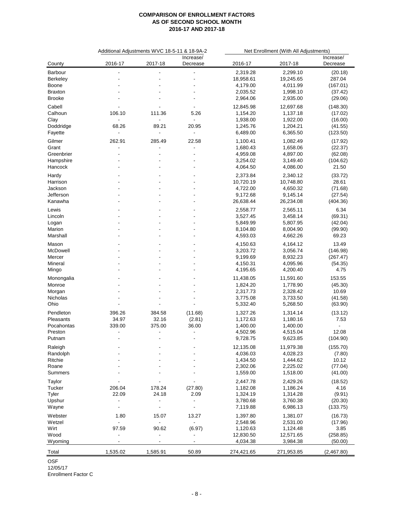|                | Additional Adjustments WVC 18-5-11 & 18-9A-2 |                |                          | Net Enrollment (With All Adjustments) |                      |            |
|----------------|----------------------------------------------|----------------|--------------------------|---------------------------------------|----------------------|------------|
|                |                                              |                | Increase/                |                                       |                      | Increase/  |
| County         | 2016-17                                      | 2017-18        | Decrease                 | 2016-17                               | 2017-18              | Decrease   |
| Barbour        | $\overline{a}$                               |                |                          | 2,319.28                              | 2,299.10             | (20.18)    |
| Berkeley       |                                              |                |                          | 18,958.61                             | 19,245.65            | 287.04     |
| Boone          |                                              |                |                          | 4,179.00                              | 4,011.99             | (167.01)   |
| <b>Braxton</b> |                                              |                |                          | 2,035.52                              | 1,998.10             | (37.42)    |
| <b>Brooke</b>  |                                              |                |                          | 2,964.06                              | 2,935.00             | (29.06)    |
| Cabell         |                                              |                | $\blacksquare$           | 12,845.98                             | 12,697.68            | (148.30)   |
| Calhoun        | 106.10                                       | 111.36         | 5.26                     | 1,154.20                              | 1,137.18             | (17.02)    |
| Clay           | $\blacksquare$                               | $\blacksquare$ | $\blacksquare$           | 1,938.00                              | 1,922.00             | (16.00)    |
| Doddridge      | 68.26                                        | 89.21          | 20.95                    | 1,245.76                              | 1,204.21             | (41.55)    |
| Fayette        | $\blacksquare$                               | $\blacksquare$ | $\blacksquare$           | 6,489.00                              | 6,365.50             | (123.50)   |
| Gilmer         | 262.91                                       | 285.49         | 22.58                    | 1,100.41                              | 1,082.49             | (17.92)    |
| Grant          | $\overline{a}$                               |                | $\overline{\phantom{a}}$ | 1,680.43                              | 1,658.06             | (22.37)    |
| Greenbrier     | $\blacksquare$                               |                | $\overline{\phantom{a}}$ | 4,959.08                              | 4,897.00             | (62.08)    |
| Hampshire      |                                              |                |                          | 3,254.02                              | 3,149.40             | (104.62)   |
| Hancock        |                                              |                |                          | 4,064.50                              | 4,086.00             | 21.50      |
|                |                                              |                |                          |                                       |                      |            |
| Hardy          |                                              |                |                          | 2,373.84                              | 2,340.12             | (33.72)    |
| Harrison       |                                              |                |                          | 10,720.19                             | 10,748.80            | 28.61      |
| Jackson        |                                              |                |                          | 4,722.00                              | 4,650.32             | (71.68)    |
| Jefferson      |                                              |                |                          | 9,172.68                              | 9,145.14             | (27.54)    |
| Kanawha        |                                              |                |                          | 26,638.44                             | 26,234.08            | (404.36)   |
| Lewis          |                                              |                |                          | 2,558.77                              | 2,565.11             | 6.34       |
| Lincoln        |                                              |                |                          | 3,527.45                              | 3,458.14             | (69.31)    |
| Logan          |                                              |                |                          | 5,849.99                              | 5,807.95             | (42.04)    |
| Marion         |                                              |                |                          | 8,104.80                              | 8,004.90             | (99.90)    |
| Marshall       |                                              |                |                          | 4,593.03                              | 4,662.26             | 69.23      |
| Mason          |                                              |                |                          | 4,150.63                              | 4,164.12             | 13.49      |
| McDowell       |                                              |                |                          | 3,203.72                              | 3,056.74             | (146.98)   |
| Mercer         |                                              |                |                          | 9,199.69                              | 8,932.23             | (267.47)   |
| Mineral        |                                              |                |                          | 4,150.31                              | 4,095.96             | (54.35)    |
|                |                                              |                |                          | 4,195.65                              | 4,200.40             | 4.75       |
| Mingo          |                                              |                |                          |                                       |                      |            |
| Monongalia     |                                              |                |                          | 11,438.05                             | 11,591.60            | 153.55     |
| Monroe         |                                              |                |                          | 1,824.20                              | 1,778.90             | (45.30)    |
| Morgan         |                                              |                |                          | 2,317.73                              | 2,328.42             | 10.69      |
| Nicholas       |                                              |                | $\blacksquare$           | 3,775.08                              | 3,733.50             | (41.58)    |
| Ohio           |                                              |                |                          | 5,332.40                              | 5,268.50             | (63.90)    |
| Pendleton      | 396.26                                       | 384.58         | (11.68)                  | 1,327.26                              | 1,314.14             | (13.12)    |
| Pleasants      | 34.97                                        | 32.16          | (2.81)                   | 1,172.63                              | 1,180.16             | 7.53       |
| Pocahontas     | 339.00                                       | 375.00         | 36.00                    | 1,400.00                              | 1,400.00             |            |
| Preston        | $\blacksquare$                               | $\blacksquare$ | $\blacksquare$           | 4,502.96                              | 4,515.04             | 12.08      |
| Putnam         |                                              |                |                          | 9,728.75                              | 9,623.85             | (104.90)   |
| Raleigh        |                                              |                |                          | 12,135.08                             | 11,979.38            | (155.70)   |
|                |                                              |                |                          |                                       |                      |            |
| Randolph       |                                              |                |                          | 4,036.03                              | 4,028.23<br>1,444.62 | (7.80)     |
| Ritchie        |                                              |                |                          | 1,434.50                              |                      | 10.12      |
| Roane          |                                              |                |                          | 2,302.06                              | 2,225.02             | (77.04)    |
| Summers        |                                              |                |                          | 1,559.00                              | 1,518.00             | (41.00)    |
| Taylor         |                                              |                |                          | 2,447.78                              | 2,429.26             | (18.52)    |
| Tucker         | 206.04                                       | 178.24         | (27.80)                  | 1,182.08                              | 1,186.24             | 4.16       |
| Tyler          | 22.09                                        | 24.18          | 2.09                     | 1,324.19                              | 1,314.28             | (9.91)     |
| Upshur         | $\blacksquare$                               | $\blacksquare$ | $\overline{\phantom{a}}$ | 3,780.68                              | 3,760.38             | (20.30)    |
| Wayne          | $\overline{\phantom{a}}$                     | $\blacksquare$ | $\blacksquare$           | 7,119.88                              | 6,986.13             | (133.75)   |
| Webster        | 1.80                                         | 15.07          | 13.27                    | 1,397.80                              | 1,381.07             | (16.73)    |
| Wetzel         | $\blacksquare$                               | $\blacksquare$ | $\blacksquare$           | 2,548.96                              | 2,531.00             | (17.96)    |
| Wirt           | 97.59                                        | 90.62          | (6.97)                   | 1,120.63                              | 1,124.48             | 3.85       |
| Wood           |                                              | $\blacksquare$ | $\blacksquare$           | 12,830.50                             | 12,571.65            | (258.85)   |
| Wyoming        |                                              |                | $\blacksquare$           | 4,034.38                              | 3,984.38             | (50.00)    |
|                |                                              |                |                          |                                       |                      |            |
| Total          | 1,535.02                                     | 1,585.91       | 50.89                    | 274,421.65                            | 271,953.85           | (2,467.80) |

OSF

12/05/17